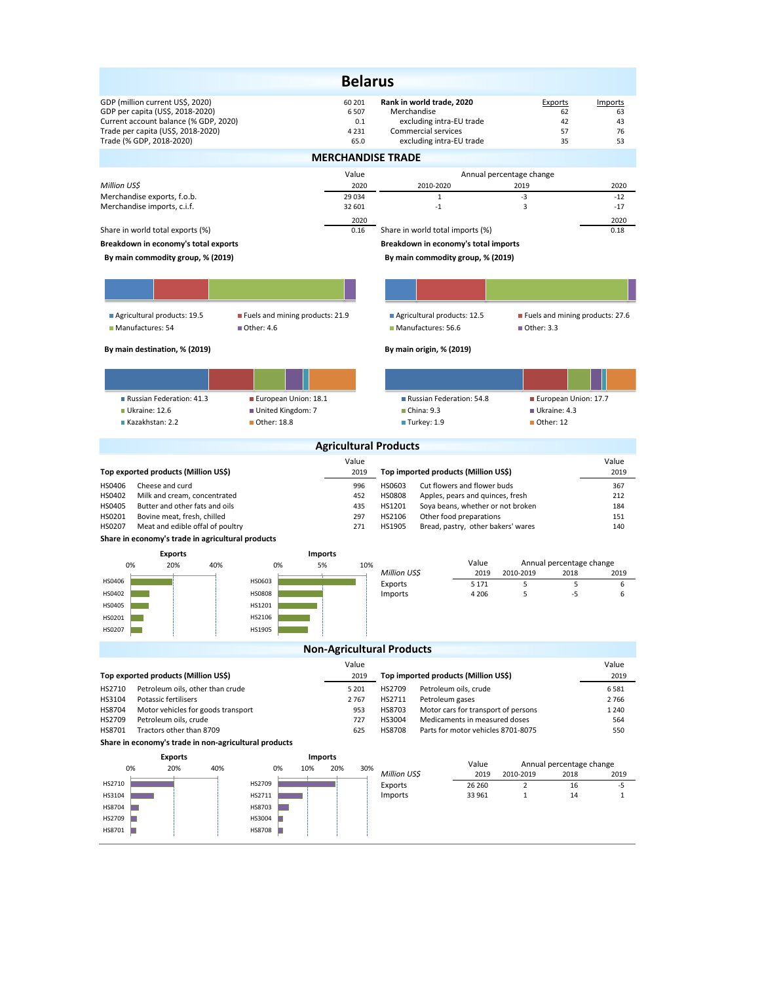|                                                                                                                                                     |                                     | <b>Belarus</b>          |                                                                                                      |                             |                           |  |
|-----------------------------------------------------------------------------------------------------------------------------------------------------|-------------------------------------|-------------------------|------------------------------------------------------------------------------------------------------|-----------------------------|---------------------------|--|
| GDP (million current US\$, 2020)<br>GDP per capita (US\$, 2018-2020)<br>Current account balance (% GDP, 2020)<br>Trade per capita (US\$, 2018-2020) | 60 201<br>6 5 0 7<br>0.1<br>4 2 3 1 | Merchandise             | Rank in world trade, 2020<br>excluding intra-EU trade<br>Commercial services                         | Exports<br>62<br>42<br>57   | Imports<br>63<br>43<br>76 |  |
| Trade (% GDP, 2018-2020)                                                                                                                            | 65.0<br><b>MERCHANDISE TRADE</b>    |                         | excluding intra-EU trade                                                                             | 35                          | 53                        |  |
|                                                                                                                                                     | Value                               |                         |                                                                                                      | Annual percentage change    |                           |  |
| Million US\$                                                                                                                                        | 2020                                |                         | 2010-2020                                                                                            | 2019                        | 2020                      |  |
| Merchandise exports, f.o.b.                                                                                                                         | 29 0 34                             |                         | $\mathbf{1}$                                                                                         | -3                          | $-12$                     |  |
| Merchandise imports, c.i.f.                                                                                                                         | 32 601<br>2020                      |                         | $-1$                                                                                                 | 3                           | $-17$<br>2020             |  |
| Share in world total exports (%)                                                                                                                    | 0.16                                |                         | Share in world total imports (%)                                                                     |                             | 0.18                      |  |
| Breakdown in economy's total exports                                                                                                                |                                     |                         | Breakdown in economy's total imports                                                                 |                             |                           |  |
| By main commodity group, % (2019)                                                                                                                   |                                     |                         | By main commodity group, % (2019)                                                                    |                             |                           |  |
|                                                                                                                                                     |                                     |                         |                                                                                                      |                             |                           |  |
|                                                                                                                                                     |                                     |                         |                                                                                                      |                             |                           |  |
| Agricultural products: 19.5<br>Fuels and mining products: 21.9<br>Manufactures: 54<br>■ Other: 4.6                                                  |                                     |                         | Agricultural products: 12.5<br>Fuels and mining products: 27.6<br>Manufactures: 56.6<br>■ Other: 3.3 |                             |                           |  |
| By main destination, % (2019)                                                                                                                       |                                     |                         | By main origin, % (2019)                                                                             |                             |                           |  |
|                                                                                                                                                     |                                     |                         |                                                                                                      |                             |                           |  |
| European Union: 18.1<br>Russian Federation: 41.3                                                                                                    |                                     |                         | Russian Federation: 54.8                                                                             |                             | European Union: 17.7      |  |
| Ukraine: 12.6<br>United Kingdom: 7<br>Kazakhstan: 2.2<br>Other: 18.8                                                                                |                                     |                         | China: 9.3<br>Ukraine: 4.3<br>Other: 12                                                              |                             |                           |  |
|                                                                                                                                                     |                                     |                         | Turkey: 1.9                                                                                          |                             |                           |  |
|                                                                                                                                                     | <b>Agricultural Products</b>        |                         |                                                                                                      |                             |                           |  |
|                                                                                                                                                     | Value                               |                         |                                                                                                      |                             | Value                     |  |
| Top exported products (Million US\$)<br>HS0406<br>Cheese and curd                                                                                   | 2019<br>996                         | HS0603                  | Top imported products (Million US\$)<br>Cut flowers and flower buds                                  |                             | 2019                      |  |
|                                                                                                                                                     |                                     |                         |                                                                                                      |                             |                           |  |
| HS0402<br>Milk and cream, concentrated                                                                                                              | 452                                 | HS0808                  | Apples, pears and quinces, fresh                                                                     |                             | 367<br>212                |  |
| HS0405<br>Butter and other fats and oils                                                                                                            | 435                                 | HS1201                  | Soya beans, whether or not broken                                                                    |                             | 184                       |  |
| HS0201<br>Bovine meat, fresh, chilled                                                                                                               | 297                                 | HS2106                  | Other food preparations                                                                              |                             | 151                       |  |
| HS0207<br>Meat and edible offal of poultry                                                                                                          | 271                                 | HS1905                  | Bread, pastry, other bakers' wares                                                                   |                             | 140                       |  |
| Share in economy's trade in agricultural products                                                                                                   |                                     |                         |                                                                                                      |                             |                           |  |
| <b>Exports</b><br>20%<br>0%<br>40%<br>0%                                                                                                            | <b>Imports</b><br>5%<br>10%         |                         | Value                                                                                                |                             | Annual percentage change  |  |
| HS0406<br>HS0603                                                                                                                                    |                                     | Million US\$            | 2019                                                                                                 | 2010-2019                   | 2018<br>2019              |  |
| HS0402<br><b>HS0808</b>                                                                                                                             |                                     | Exports<br>Imports      | 5 1 7 1<br>4 2 0 6                                                                                   | 5<br>5                      | 5<br>6<br>-5<br>6         |  |
| HS0405<br>HS1201                                                                                                                                    |                                     |                         |                                                                                                      |                             |                           |  |
| HS0201<br>HS2106                                                                                                                                    |                                     |                         |                                                                                                      |                             |                           |  |
| HS1905<br>HS0207                                                                                                                                    |                                     |                         |                                                                                                      |                             |                           |  |
|                                                                                                                                                     | <b>Non-Agricultural Products</b>    |                         |                                                                                                      |                             |                           |  |
|                                                                                                                                                     | Value                               |                         |                                                                                                      |                             | Value                     |  |
| Top exported products (Million US\$)                                                                                                                | 2019                                |                         | Top imported products (Million US\$)                                                                 |                             | 2019                      |  |
| HS2710<br>Petroleum oils, other than crude<br>HS3104<br>Potassic fertilisers                                                                        | 5 2 0 1<br>2767                     | HS2709<br>HS2711        | Petroleum oils, crude<br>Petroleum gases                                                             |                             | 6581<br>2766              |  |
| HS8704<br>Motor vehicles for goods transport                                                                                                        | 953                                 | HS8703                  | Motor cars for transport of persons                                                                  |                             | 1 2 4 0                   |  |
| HS2709<br>Petroleum oils, crude                                                                                                                     | 727                                 | HS3004                  | Medicaments in measured doses                                                                        |                             | 564                       |  |
| HS8701<br>Tractors other than 8709<br>Share in economy's trade in non-agricultural products                                                         | 625                                 | <b>HS8708</b>           | Parts for motor vehicles 8701-8075                                                                   |                             | 550                       |  |
|                                                                                                                                                     |                                     |                         |                                                                                                      |                             |                           |  |
| <b>Exports</b><br>0%<br>20%<br>40%<br>0%                                                                                                            | <b>Imports</b><br>10%<br>20%<br>30% |                         | Value                                                                                                |                             | Annual percentage change  |  |
| HS2710<br>HS2709                                                                                                                                    |                                     | Million US\$<br>Exports | 2019<br>26 260                                                                                       | 2010-2019<br>$\overline{2}$ | 2018<br>2019<br>-5<br>16  |  |
| HS3104<br>HS2711                                                                                                                                    |                                     | Imports                 | 33 961                                                                                               | $\mathbf{1}$                | 14<br>1                   |  |
| HS8704<br>HS8703                                                                                                                                    |                                     |                         |                                                                                                      |                             |                           |  |
| HS2709<br>HS3004<br>HS8701<br>HS8708<br>n                                                                                                           |                                     |                         |                                                                                                      |                             |                           |  |